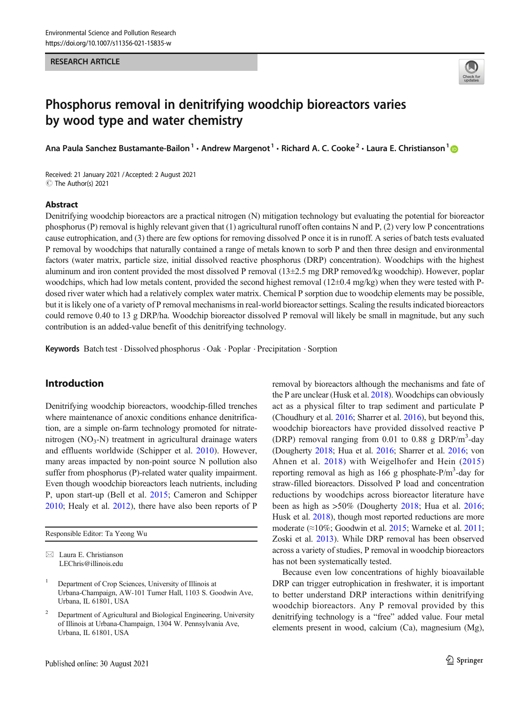#### RESEARCH ARTICLE



# Phosphorus removal in denitrifying woodchip bioreactors varies by wood type and water chemistry

Ana Paula Sanchez Bustamante-Bailon<sup>1</sup> • Andrew Margenot<sup>1</sup> • Richard A. C. Cooke<sup>2</sup> • Laura E. Christianson<sup>1</sup>

Received: 21 January 2021 /Accepted: 2 August 2021 C The Author(s) 2021

#### Abstract

Denitrifying woodchip bioreactors are a practical nitrogen (N) mitigation technology but evaluating the potential for bioreactor phosphorus (P) removal is highly relevant given that (1) agricultural runoff often contains N and P, (2) very low P concentrations cause eutrophication, and (3) there are few options for removing dissolved P once it is in runoff. A series of batch tests evaluated P removal by woodchips that naturally contained a range of metals known to sorb P and then three design and environmental factors (water matrix, particle size, initial dissolved reactive phosphorus (DRP) concentration). Woodchips with the highest aluminum and iron content provided the most dissolved P removal (13±2.5 mg DRP removed/kg woodchip). However, poplar woodchips, which had low metals content, provided the second highest removal  $(12\pm 0.4 \text{ mg/kg})$  when they were tested with Pdosed river water which had a relatively complex water matrix. Chemical P sorption due to woodchip elements may be possible, but it is likely one of a variety of P removal mechanisms in real-world bioreactor settings. Scaling the results indicated bioreactors could remove 0.40 to 13 g DRP/ha. Woodchip bioreactor dissolved P removal will likely be small in magnitude, but any such contribution is an added-value benefit of this denitrifying technology.

Keywords Batch test . Dissolved phosphorus . Oak . Poplar . Precipitation . Sorption

# Introduction

Denitrifying woodchip bioreactors, woodchip-filled trenches where maintenance of anoxic conditions enhance denitrification, are a simple on-farm technology promoted for nitratenitrogen  $(NO<sub>3</sub>-N)$  treatment in agricultural drainage waters and effluents worldwide (Schipper et al. [2010\)](#page-10-0). However, many areas impacted by non-point source N pollution also suffer from phosphorus (P)-related water quality impairment. Even though woodchip bioreactors leach nutrients, including P, upon start-up (Bell et al. [2015;](#page-9-0) Cameron and Schipper [2010;](#page-9-0) Healy et al. [2012\)](#page-10-0), there have also been reports of P

Responsible Editor: Ta Yeong Wu

 $\boxtimes$  Laura E. Christianson [LEChris@illinois.edu](mailto:LEChris@illinois.edu) removal by bioreactors although the mechanisms and fate of the P are unclear (Husk et al. [2018\)](#page-10-0). Woodchips can obviously act as a physical filter to trap sediment and particulate P (Choudhury et al. [2016;](#page-9-0) Sharrer et al. [2016](#page-10-0)), but beyond this, woodchip bioreactors have provided dissolved reactive P (DRP) removal ranging from 0.01 to 0.88 g DRP/m<sup>3</sup>-day (Dougherty [2018;](#page-10-0) Hua et al. [2016;](#page-10-0) Sharrer et al. [2016](#page-10-0); von Ahnen et al. [2018\)](#page-10-0) with Weigelhofer and Hein ([2015](#page-10-0)) reporting removal as high as  $166$  g phosphate-P/m<sup>3</sup>-day for straw-filled bioreactors. Dissolved P load and concentration reductions by woodchips across bioreactor literature have been as high as >50% (Dougherty [2018;](#page-10-0) Hua et al. [2016;](#page-10-0) Husk et al. [2018](#page-10-0)), though most reported reductions are more moderate (≈10%; Goodwin et al. [2015](#page-10-0); Warneke et al. [2011;](#page-10-0) Zoski et al. [2013](#page-10-0)). While DRP removal has been observed across a variety of studies, P removal in woodchip bioreactors has not been systematically tested.

Because even low concentrations of highly bioavailable DRP can trigger eutrophication in freshwater, it is important to better understand DRP interactions within denitrifying woodchip bioreactors. Any P removal provided by this denitrifying technology is a "free" added value. Four metal elements present in wood, calcium (Ca), magnesium (Mg),

<sup>1</sup> Department of Crop Sciences, University of Illinois at Urbana-Champaign, AW-101 Turner Hall, 1103 S. Goodwin Ave, Urbana, IL 61801, USA

<sup>2</sup> Department of Agricultural and Biological Engineering, University of Illinois at Urbana-Champaign, 1304 W. Pennsylvania Ave, Urbana, IL 61801, USA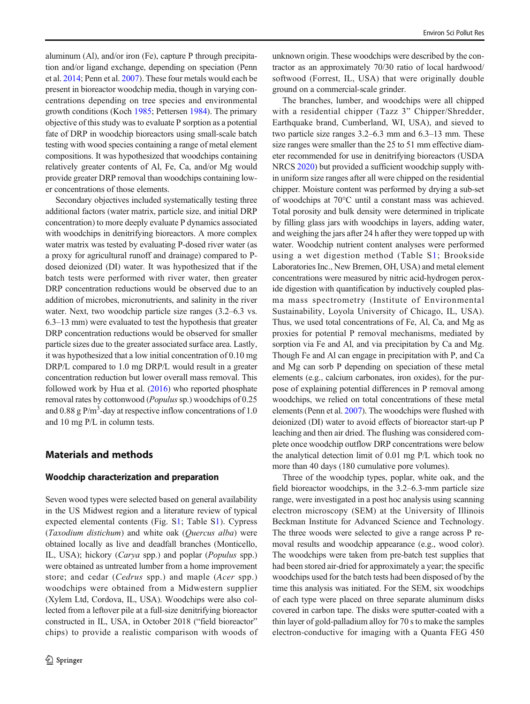aluminum (Al), and/or iron (Fe), capture P through precipitation and/or ligand exchange, depending on speciation (Penn et al. [2014;](#page-10-0) Penn et al. [2007](#page-10-0)). These four metals would each be present in bioreactor woodchip media, though in varying concentrations depending on tree species and environmental growth conditions (Koch [1985](#page-10-0); Pettersen [1984\)](#page-10-0). The primary objective of this study was to evaluate P sorption as a potential fate of DRP in woodchip bioreactors using small-scale batch testing with wood species containing a range of metal element compositions. It was hypothesized that woodchips containing relatively greater contents of Al, Fe, Ca, and/or Mg would provide greater DRP removal than woodchips containing lower concentrations of those elements.

Secondary objectives included systematically testing three additional factors (water matrix, particle size, and initial DRP concentration) to more deeply evaluate P dynamics associated with woodchips in denitrifying bioreactors. A more complex water matrix was tested by evaluating P-dosed river water (as a proxy for agricultural runoff and drainage) compared to Pdosed deionized (DI) water. It was hypothesized that if the batch tests were performed with river water, then greater DRP concentration reductions would be observed due to an addition of microbes, micronutrients, and salinity in the river water. Next, two woodchip particle size ranges (3.2–6.3 vs. 6.3–13 mm) were evaluated to test the hypothesis that greater DRP concentration reductions would be observed for smaller particle sizes due to the greater associated surface area. Lastly, it was hypothesized that a low initial concentration of 0.10 mg DRP/L compared to 1.0 mg DRP/L would result in a greater concentration reduction but lower overall mass removal. This followed work by Hua et al.  $(2016)$  who reported phosphate removal rates by cottonwood (Populus sp.) woodchips of 0.25 and 0.88 g  $P/m^3$ -day at respective inflow concentrations of 1.0 and 10 mg P/L in column tests.

## Materials and methods

#### Woodchip characterization and preparation

Seven wood types were selected based on general availability in the US Midwest region and a literature review of typical expected elemental contents (Fig. S1; Table S1). Cypress (Taxodium distichum) and white oak (Quercus alba) were obtained locally as live and deadfall branches (Monticello, IL, USA); hickory (*Carya* spp.) and poplar (*Populus* spp.) were obtained as untreated lumber from a home improvement store; and cedar (Cedrus spp.) and maple (Acer spp.) woodchips were obtained from a Midwestern supplier (Xylem Ltd, Cordova, IL, USA). Woodchips were also collected from a leftover pile at a full-size denitrifying bioreactor constructed in IL, USA, in October 2018 ("field bioreactor" chips) to provide a realistic comparison with woods of

unknown origin. These woodchips were described by the contractor as an approximately 70/30 ratio of local hardwood/ softwood (Forrest, IL, USA) that were originally double ground on a commercial-scale grinder.

The branches, lumber, and woodchips were all chipped with a residential chipper (Tazz 3" Chipper/Shredder, Earthquake brand, Cumberland, WI, USA), and sieved to two particle size ranges 3.2–6.3 mm and 6.3–13 mm. These size ranges were smaller than the 25 to 51 mm effective diameter recommended for use in denitrifying bioreactors (USDA NRCS [2020\)](#page-10-0) but provided a sufficient woodchip supply within uniform size ranges after all were chipped on the residential chipper. Moisture content was performed by drying a sub-set of woodchips at 70°C until a constant mass was achieved. Total porosity and bulk density were determined in triplicate by filling glass jars with woodchips in layers, adding water, and weighing the jars after 24 h after they were topped up with water. Woodchip nutrient content analyses were performed using a wet digestion method (Table S1; Brookside Laboratories Inc., New Bremen, OH, USA) and metal element concentrations were measured by nitric acid-hydrogen peroxide digestion with quantification by inductively coupled plasma mass spectrometry (Institute of Environmental Sustainability, Loyola University of Chicago, IL, USA). Thus, we used total concentrations of Fe, Al, Ca, and Mg as proxies for potential P removal mechanisms, mediated by sorption via Fe and Al, and via precipitation by Ca and Mg. Though Fe and Al can engage in precipitation with P, and Ca and Mg can sorb P depending on speciation of these metal elements (e.g., calcium carbonates, iron oxides), for the purpose of explaining potential differences in P removal among woodchips, we relied on total concentrations of these metal elements (Penn et al. [2007\)](#page-10-0). The woodchips were flushed with deionized (DI) water to avoid effects of bioreactor start-up P leaching and then air dried. The flushing was considered complete once woodchip outflow DRP concentrations were below the analytical detection limit of 0.01 mg P/L which took no more than 40 days (180 cumulative pore volumes).

Three of the woodchip types, poplar, white oak, and the field bioreactor woodchips, in the 3.2–6.3-mm particle size range, were investigated in a post hoc analysis using scanning electron microscopy (SEM) at the University of Illinois Beckman Institute for Advanced Science and Technology. The three woods were selected to give a range across P removal results and woodchip appearance (e.g., wood color). The woodchips were taken from pre-batch test supplies that had been stored air-dried for approximately a year; the specific woodchips used for the batch tests had been disposed of by the time this analysis was initiated. For the SEM, six woodchips of each type were placed on three separate aluminum disks covered in carbon tape. The disks were sputter-coated with a thin layer of gold-palladium alloy for 70 s to make the samples electron-conductive for imaging with a Quanta FEG 450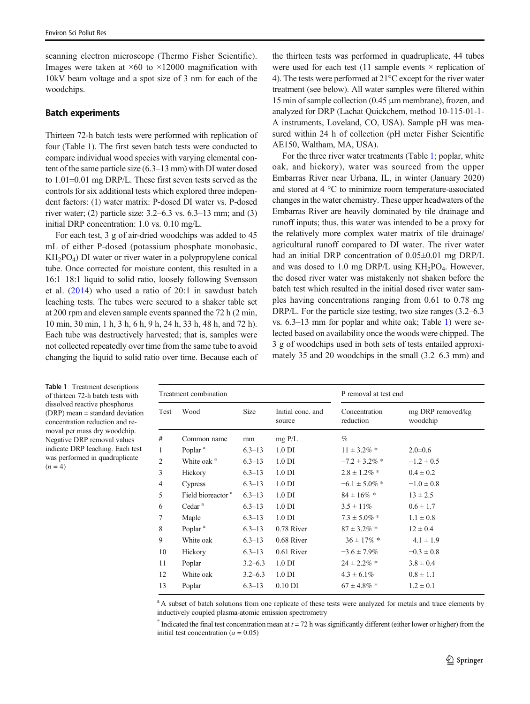<span id="page-2-0"></span>scanning electron microscope (Thermo Fisher Scientific). Images were taken at  $\times 60$  to  $\times 12000$  magnification with 10kV beam voltage and a spot size of 3 nm for each of the woodchips.

#### Batch experiments

Thirteen 72-h batch tests were performed with replication of four (Table 1). The first seven batch tests were conducted to compare individual wood species with varying elemental content of the same particle size (6.3–13 mm) with DI water dosed to 1.01±0.01 mg DRP/L. These first seven tests served as the controls for six additional tests which explored three independent factors: (1) water matrix: P-dosed DI water vs. P-dosed river water; (2) particle size: 3.2–6.3 vs. 6.3–13 mm; and (3) initial DRP concentration: 1.0 vs. 0.10 mg/L.

For each test, 3 g of air-dried woodchips was added to 45 mL of either P-dosed (potassium phosphate monobasic, KH2PO4) DI water or river water in a polypropylene conical tube. Once corrected for moisture content, this resulted in a 16:1–18:1 liquid to solid ratio, loosely following Svensson et al. ([2014](#page-10-0)) who used a ratio of 20:1 in sawdust batch leaching tests. The tubes were secured to a shaker table set at 200 rpm and eleven sample events spanned the 72 h (2 min, 10 min, 30 min, 1 h, 3 h, 6 h, 9 h, 24 h, 33 h, 48 h, and 72 h). Each tube was destructively harvested; that is, samples were not collected repeatedly over time from the same tube to avoid changing the liquid to solid ratio over time. Because each of

the thirteen tests was performed in quadruplicate, 44 tubes were used for each test (11 sample events  $\times$  replication of 4). The tests were performed at 21°C except for the river water treatment (see below). All water samples were filtered within 15 min of sample collection (0.45 μm membrane), frozen, and analyzed for DRP (Lachat Quickchem, method 10-115-01-1- A instruments, Loveland, CO, USA). Sample pH was measured within 24 h of collection (pH meter Fisher Scientific AE150, Waltham, MA, USA).

For the three river water treatments (Table 1; poplar, white oak, and hickory), water was sourced from the upper Embarras River near Urbana, IL, in winter (January 2020) and stored at 4 °C to minimize room temperature-associated changes in the water chemistry. These upper headwaters of the Embarras River are heavily dominated by tile drainage and runoff inputs; thus, this water was intended to be a proxy for the relatively more complex water matrix of tile drainage/ agricultural runoff compared to DI water. The river water had an initial DRP concentration of  $0.05\pm0.01$  mg DRP/L and was dosed to 1.0 mg DRP/L using  $KH_2PO_4$ . However, the dosed river water was mistakenly not shaken before the batch test which resulted in the initial dosed river water samples having concentrations ranging from 0.61 to 0.78 mg DRP/L. For the particle size testing, two size ranges  $(3.2-6.3)$ vs. 6.3–13 mm for poplar and white oak; Table 1) were selected based on availability once the woods were chipped. The 3 g of woodchips used in both sets of tests entailed approximately 35 and 20 woodchips in the small (3.2–6.3 mm) and

| Treatment combination |                               |             |                             | P removal at test end      |                               |  |
|-----------------------|-------------------------------|-------------|-----------------------------|----------------------------|-------------------------------|--|
| Test                  | Wood                          | <b>Size</b> | Initial conc. and<br>source | Concentration<br>reduction | mg DRP removed/kg<br>woodchip |  |
| #                     | Common name                   | mm          | $mg$ P/L                    | $\%$                       |                               |  |
| $\mathbf{1}$          | Poplar <sup>a</sup>           | $6.3 - 13$  | $1.0$ DI                    | $11 \pm 3.2\%$ *           | $2.0 \pm 0.6$                 |  |
| $\overline{2}$        | White oak <sup>a</sup>        | $6.3 - 13$  | $1.0$ DI                    | $-7.2 \pm 3.2\%$ *         | $-1.2 \pm 0.5$                |  |
| 3                     | Hickory                       | $6.3 - 13$  | $1.0$ DI                    | $2.8 \pm 1.2\%$ *          | $0.4 \pm 0.2$                 |  |
| $\overline{4}$        | Cypress                       | $6.3 - 13$  | $1.0$ DI                    | $-6.1 \pm 5.0\%$ *         | $-1.0 \pm 0.8$                |  |
| 5                     | Field bioreactor <sup>a</sup> | $6.3 - 13$  | $1.0$ DI                    | $84 \pm 16\%$ *            | $13 \pm 2.5$                  |  |
| 6                     | Cedar <sup>a</sup>            | $6.3 - 13$  | $1.0$ DI                    | $3.5 \pm 11\%$             | $0.6 \pm 1.7$                 |  |
| 7                     | Maple                         | $6.3 - 13$  | $1.0$ DI                    | $7.3 \pm 5.0\%$ *          | $1.1 \pm 0.8$                 |  |
| 8                     | Poplar <sup>a</sup>           | $6.3 - 13$  | 0.78 River                  | $87 \pm 3.2\%$ *           | $12 \pm 0.4$                  |  |
| 9                     | White oak                     | $6.3 - 13$  | 0.68 River                  | $-36 \pm 17\%$ *           | $-4.1 \pm 1.9$                |  |
| 10                    | Hickory                       | $6.3 - 13$  | 0.61 River                  | $-3.6 \pm 7.9\%$           | $-0.3 \pm 0.8$                |  |
| 11                    | Poplar                        | $3.2 - 6.3$ | $1.0$ DI                    | $24 \pm 2.2\%$ *           | $3.8 \pm 0.4$                 |  |
| 12                    | White oak                     | $3.2 - 6.3$ | $1.0$ DI                    | $4.3 \pm 6.1\%$            | $0.8 \pm 1.1$                 |  |
| 13                    | Poplar                        | $6.3 - 13$  | $0.10$ DI                   | $67 \pm 4.8\%$ *           | $1.2 \pm 0.1$                 |  |
|                       |                               |             |                             |                            |                               |  |

<sup>a</sup> A subset of batch solutions from one replicate of these tests were analyzed for metals and trace elements by inductively coupled plasma-atomic emission spectrometry

\* Indicated the final test concentration mean at  $t = 72$  h was significantly different (either lower or higher) from the initial test concentration ( $a = 0.05$ )

Table 1 Treatment descriptions of thirteen 72-h batch tests with dissolved reactive phosphorus (DRP) mean  $\pm$  standard deviation concentration reduction and removal per mass dry woodchip. Negative DRP removal values indicate DRP leaching. Each test was performed in quadruplicate  $(n = 4)$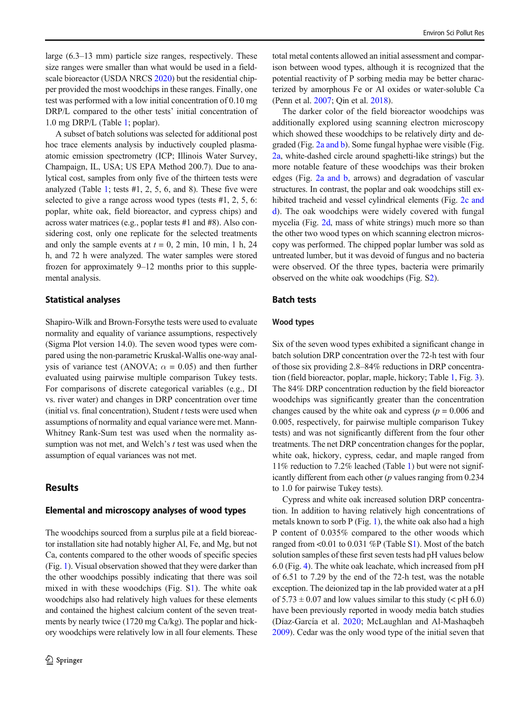large (6.3–13 mm) particle size ranges, respectively. These size ranges were smaller than what would be used in a fieldscale bioreactor (USDA NRCS [2020](#page-10-0)) but the residential chipper provided the most woodchips in these ranges. Finally, one test was performed with a low initial concentration of 0.10 mg DRP/L compared to the other tests' initial concentration of 1.0 mg DRP/L (Table [1](#page-2-0); poplar).

A subset of batch solutions was selected for additional post hoc trace elements analysis by inductively coupled plasmaatomic emission spectrometry (ICP; Illinois Water Survey, Champaign, IL, USA; US EPA Method 200.7). Due to analytical cost, samples from only five of the thirteen tests were analyzed (Table [1;](#page-2-0) tests #1, 2, 5, 6, and 8). These five were selected to give a range across wood types (tests #1, 2, 5, 6: poplar, white oak, field bioreactor, and cypress chips) and across water matrices (e.g., poplar tests #1 and #8). Also considering cost, only one replicate for the selected treatments and only the sample events at  $t = 0$ , 2 min, 10 min, 1 h, 24 h, and 72 h were analyzed. The water samples were stored frozen for approximately 9–12 months prior to this supplemental analysis.

#### Statistical analyses

Shapiro-Wilk and Brown-Forsythe tests were used to evaluate normality and equality of variance assumptions, respectively (Sigma Plot version 14.0). The seven wood types were compared using the non-parametric Kruskal-Wallis one-way analysis of variance test (ANOVA;  $\alpha = 0.05$ ) and then further evaluated using pairwise multiple comparison Tukey tests. For comparisons of discrete categorical variables (e.g., DI vs. river water) and changes in DRP concentration over time (initial vs. final concentration), Student  $t$  tests were used when assumptions of normality and equal variance were met. Mann-Whitney Rank-Sum test was used when the normality assumption was not met, and Welch's t test was used when the assumption of equal variances was not met.

## **Results**

#### Elemental and microscopy analyses of wood types

The woodchips sourced from a surplus pile at a field bioreactor installation site had notably higher Al, Fe, and Mg, but not Ca, contents compared to the other woods of specific species (Fig. [1](#page-4-0)). Visual observation showed that they were darker than the other woodchips possibly indicating that there was soil mixed in with these woodchips (Fig. S1). The white oak woodchips also had relatively high values for these elements and contained the highest calcium content of the seven treatments by nearly twice (1720 mg Ca/kg). The poplar and hickory woodchips were relatively low in all four elements. These

total metal contents allowed an initial assessment and comparison between wood types, although it is recognized that the potential reactivity of P sorbing media may be better characterized by amorphous Fe or Al oxides or water-soluble Ca (Penn et al. [2007;](#page-10-0) Qin et al. [2018](#page-10-0)).

The darker color of the field bioreactor woodchips was additionally explored using scanning electron microscopy which showed these woodchips to be relatively dirty and degraded (Fig. [2a and b\)](#page-4-0). Some fungal hyphae were visible (Fig. [2a](#page-4-0), white-dashed circle around spaghetti-like strings) but the more notable feature of these woodchips was their broken edges (Fig. [2a and b](#page-4-0), arrows) and degradation of vascular structures. In contrast, the poplar and oak woodchips still exhibited tracheid and vessel cylindrical elements (Fig. [2c and](#page-4-0) [d](#page-4-0)). The oak woodchips were widely covered with fungal mycelia (Fig. [2d](#page-4-0), mass of white strings) much more so than the other two wood types on which scanning electron microscopy was performed. The chipped poplar lumber was sold as untreated lumber, but it was devoid of fungus and no bacteria were observed. Of the three types, bacteria were primarily observed on the white oak woodchips (Fig. S2).

#### Batch tests

#### Wood types

Six of the seven wood types exhibited a significant change in batch solution DRP concentration over the 72-h test with four of those six providing 2.8–84% reductions in DRP concentration (field bioreactor, poplar, maple, hickory; Table [1](#page-2-0), Fig. [3\)](#page-5-0). The 84% DRP concentration reduction by the field bioreactor woodchips was significantly greater than the concentration changes caused by the white oak and cypress ( $p = 0.006$  and 0.005, respectively, for pairwise multiple comparison Tukey tests) and was not significantly different from the four other treatments. The net DRP concentration changes for the poplar, white oak, hickory, cypress, cedar, and maple ranged from 11% reduction to 7.2% leached (Table [1\)](#page-2-0) but were not significantly different from each other  $(p$  values ranging from 0.234 to 1.0 for pairwise Tukey tests).

Cypress and white oak increased solution DRP concentration. In addition to having relatively high concentrations of metals known to sorb P (Fig. [1](#page-4-0)), the white oak also had a high P content of 0.035% compared to the other woods which ranged from <0.01 to 0.031 %P (Table S1). Most of the batch solution samples of these first seven tests had pH values below 6.0 (Fig. [4\)](#page-5-0). The white oak leachate, which increased from pH of 6.51 to 7.29 by the end of the 72-h test, was the notable exception. The deionized tap in the lab provided water at a pH of  $5.73 \pm 0.07$  and low values similar to this study ( $\lt$  pH 6.0) have been previously reported in woody media batch studies (Díaz-García et al. [2020;](#page-10-0) McLaughlan and Al-Mashaqbeh [2009\)](#page-10-0). Cedar was the only wood type of the initial seven that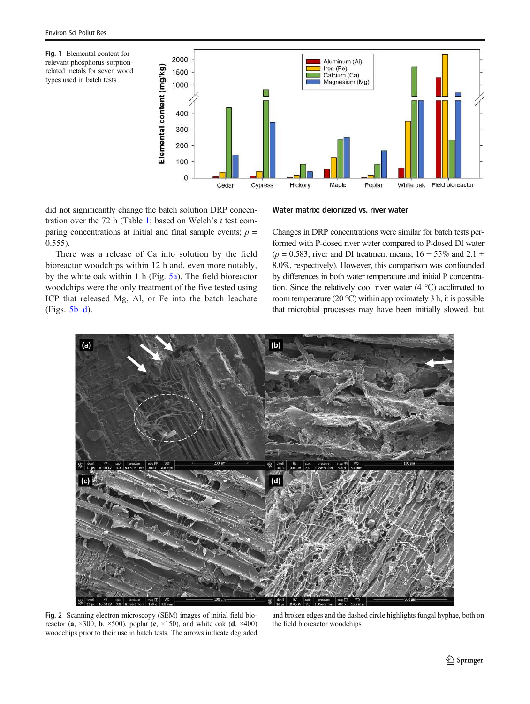<span id="page-4-0"></span>



did not significantly change the batch solution DRP concen-tration over the 72 h (Table [1](#page-2-0); based on Welch's  $t$  test comparing concentrations at initial and final sample events;  $p =$ 0.555).

There was a release of Ca into solution by the field bioreactor woodchips within 12 h and, even more notably, by the white oak within 1 h (Fig. [5a](#page-6-0)). The field bioreactor woodchips were the only treatment of the five tested using ICP that released Mg, Al, or Fe into the batch leachate (Figs. [5b](#page-6-0)–d).

#### Water matrix: deionized vs. river water

Changes in DRP concentrations were similar for batch tests performed with P-dosed river water compared to P-dosed DI water ( $p = 0.583$ ; river and DI treatment means;  $16 \pm 55\%$  and  $2.1 \pm 1$ 8.0%, respectively). However, this comparison was confounded by differences in both water temperature and initial P concentration. Since the relatively cool river water (4 °C) acclimated to room temperature (20  $^{\circ}$ C) within approximately 3 h, it is possible that microbial processes may have been initially slowed, but



Fig. 2 Scanning electron microscopy (SEM) images of initial field bioreactor (a,  $\times 300$ ; b,  $\times 500$ ), poplar (c,  $\times 150$ ), and white oak (d,  $\times 400$ ) woodchips prior to their use in batch tests. The arrows indicate degraded

and broken edges and the dashed circle highlights fungal hyphae, both on the field bioreactor woodchips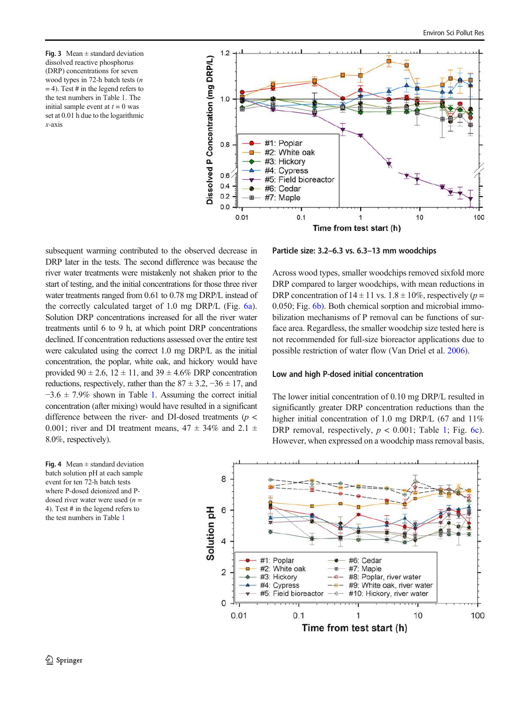<span id="page-5-0"></span>Fig. 3 Mean  $\pm$  standard deviation dissolved reactive phosphorus (DRP) concentrations for seven wood types in 72-h batch tests (n  $= 4$ ). Test # in the legend refers to the test numbers in Table [1.](#page-2-0) The initial sample event at  $t = 0$  was set at 0.01 h due to the logarithmic x-axis



subsequent warming contributed to the observed decrease in DRP later in the tests. The second difference was because the river water treatments were mistakenly not shaken prior to the start of testing, and the initial concentrations for those three river water treatments ranged from 0.61 to 0.78 mg DRP/L instead of the correctly calculated target of 1.0 mg DRP/L (Fig. [6a](#page-7-0)). Solution DRP concentrations increased for all the river water treatments until 6 to 9 h, at which point DRP concentrations declined. If concentration reductions assessed over the entire test were calculated using the correct 1.0 mg DRP/L as the initial concentration, the poplar, white oak, and hickory would have provided  $90 \pm 2.6$ ,  $12 \pm 11$ , and  $39 \pm 4.6\%$  DRP concentration reductions, respectively, rather than the  $87 \pm 3.2$ ,  $-36 \pm 17$ , and  $-3.6 \pm 7.9\%$  shown in Table [1](#page-2-0). Assuming the correct initial concentration (after mixing) would have resulted in a significant difference between the river- and DI-dosed treatments ( $p$  < 0.001; river and DI treatment means,  $47 \pm 34\%$  and  $2.1 \pm 1$ 8.0%, respectively).

Fig. 4 Mean  $\pm$  standard deviation batch solution pH at each sample event for ten 72-h batch tests where P-dosed deionized and Pdosed river water were used  $(n =$ 4). Test # in the legend refers to the test numbers in Table [1](#page-2-0)



Across wood types, smaller woodchips removed sixfold more DRP compared to larger woodchips, with mean reductions in DRP concentration of  $14 \pm 11$  vs.  $1.8 \pm 10\%$ , respectively (p = 0.050; Fig. [6b\)](#page-7-0). Both chemical sorption and microbial immobilization mechanisms of P removal can be functions of surface area. Regardless, the smaller woodchip size tested here is not recommended for full-size bioreactor applications due to possible restriction of water flow (Van Driel et al. [2006](#page-10-0)).

#### Low and high P-dosed initial concentration

The lower initial concentration of 0.10 mg DRP/L resulted in significantly greater DRP concentration reductions than the higher initial concentration of 1.0 mg DRP/L (67 and 11%) DRP removal, respectively,  $p < 0.001$ ; Table [1;](#page-2-0) Fig. [6c](#page-7-0)). However, when expressed on a woodchip mass removal basis,

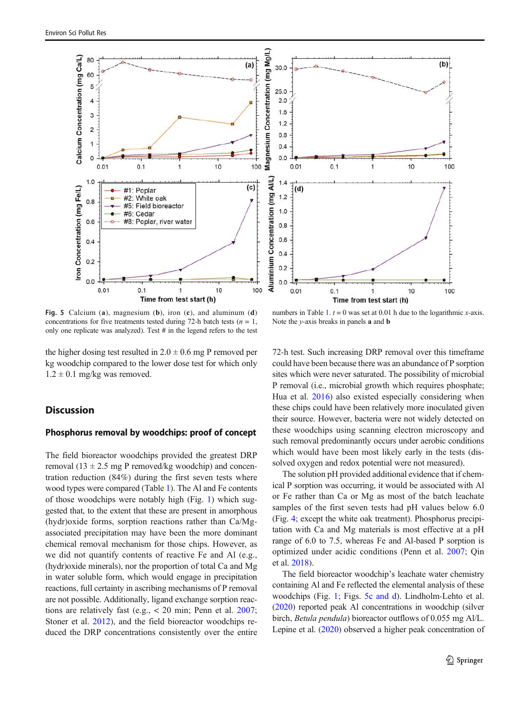<span id="page-6-0"></span>

Fig. 5 Calcium (a), magnesium (b), iron (c), and aluminum (d) concentrations for five treatments tested during 72-h batch tests ( $n = 1$ , only one replicate was analyzed). Test # in the legend refers to the test

the higher dosing test resulted in  $2.0 \pm 0.6$  mg P removed per kg woodchip compared to the lower dose test for which only  $1.2 \pm 0.1$  mg/kg was removed.

## **Discussion**

## Phosphorus removal by woodchips: proof of concept

The field bioreactor woodchips provided the greatest DRP removal (13  $\pm$  2.5 mg P removed/kg woodchip) and concentration reduction (84%) during the first seven tests where wood types were compared (Table [1](#page-2-0)). The Al and Fe contents of those woodchips were notably high (Fig. [1\)](#page-4-0) which suggested that, to the extent that these are present in amorphous (hydr)oxide forms, sorption reactions rather than Ca/Mgassociated precipitation may have been the more dominant chemical removal mechanism for those chips. However, as we did not quantify contents of reactive Fe and Al (e.g., (hydr)oxide minerals), nor the proportion of total Ca and Mg in water soluble form, which would engage in precipitation reactions, full certainty in ascribing mechanisms of P removal are not possible. Additionally, ligand exchange sorption reactions are relatively fast (e.g., < 20 min; Penn et al. [2007](#page-10-0); Stoner et al. [2012](#page-10-0)), and the field bioreactor woodchips reduced the DRP concentrations consistently over the entire

numbers in Table [1.](#page-2-0)  $t = 0$  was set at 0.01 h due to the logarithmic x-axis. Note the  $y$ -axis breaks in panels **a** and **b** 

72-h test. Such increasing DRP removal over this timeframe could have been because there was an abundance of P sorption sites which were never saturated. The possibility of microbial P removal (i.e., microbial growth which requires phosphate; Hua et al. [2016\)](#page-10-0) also existed especially considering when these chips could have been relatively more inoculated given their source. However, bacteria were not widely detected on these woodchips using scanning electron microscopy and such removal predominantly occurs under aerobic conditions which would have been most likely early in the tests (dissolved oxygen and redox potential were not measured).

The solution pH provided additional evidence that if chemical P sorption was occurring, it would be associated with Al or Fe rather than Ca or Mg as most of the batch leachate samples of the first seven tests had pH values below 6.0 (Fig. [4](#page-5-0); except the white oak treatment). Phosphorus precipitation with Ca and Mg materials is most effective at a pH range of 6.0 to 7.5, whereas Fe and Al-based P sorption is optimized under acidic conditions (Penn et al. [2007;](#page-10-0) Qin et al. [2018](#page-10-0)).

The field bioreactor woodchip's leachate water chemistry containing Al and Fe reflected the elemental analysis of these woodchips (Fig. [1](#page-4-0); Figs. 5c and d). Lindholm-Lehto et al. [\(2020\)](#page-10-0) reported peak Al concentrations in woodchip (silver birch, Betula pendula) bioreactor outflows of 0.055 mg Al/L. Lepine et al. [\(2020\)](#page-10-0) observed a higher peak concentration of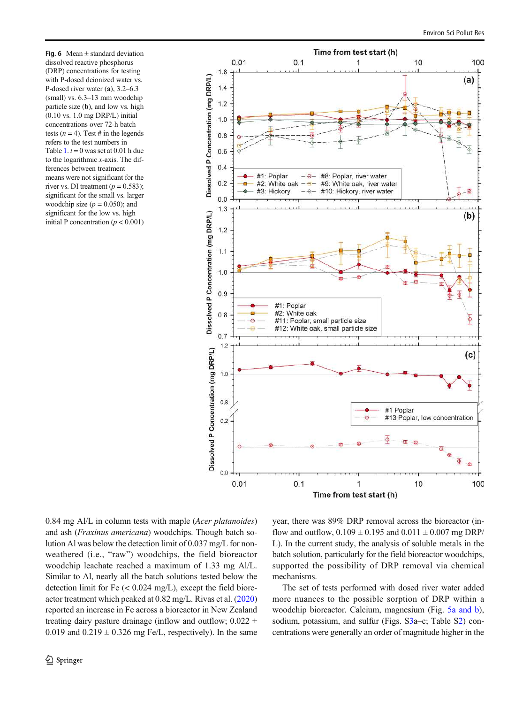<span id="page-7-0"></span>Fig. 6 Mean  $\pm$  standard deviation dissolved reactive phosphorus (DRP) concentrations for testing with P-dosed deionized water vs. P-dosed river water (a), 3.2–6.3 (small) vs. 6.3–13 mm woodchip particle size (b), and low vs. high (0.10 vs. 1.0 mg DRP/L) initial concentrations over 72-h batch tests ( $n = 4$ ). Test # in the legends refers to the test numbers in Table [1](#page-2-0).  $t = 0$  was set at 0.01 h due to the logarithmic x-axis. The differences between treatment means were not significant for the river vs. DI treatment ( $p = 0.583$ ); significant for the small vs. larger woodchip size  $(p = 0.050)$ ; and significant for the low vs. high initial P concentration ( $p < 0.001$ )



0.84 mg Al/L in column tests with maple (*Acer platanoides*) and ash (Fraxinus americana) woodchips. Though batch solution Al was below the detection limit of 0.037 mg/L for nonweathered (i.e., "raw") woodchips, the field bioreactor woodchip leachate reached a maximum of 1.33 mg Al/L. Similar to Al, nearly all the batch solutions tested below the detection limit for Fe  $(< 0.024$  mg/L), except the field bioreactor treatment which peaked at 0.82 mg/L. Rivas et al. [\(2020\)](#page-10-0) reported an increase in Fe across a bioreactor in New Zealand treating dairy pasture drainage (inflow and outflow;  $0.022 \pm$ 0.019 and  $0.219 \pm 0.326$  mg Fe/L, respectively). In the same year, there was 89% DRP removal across the bioreactor (inflow and outflow,  $0.109 \pm 0.195$  and  $0.011 \pm 0.007$  mg DRP/ L). In the current study, the analysis of soluble metals in the batch solution, particularly for the field bioreactor woodchips, supported the possibility of DRP removal via chemical mechanisms.

The set of tests performed with dosed river water added more nuances to the possible sorption of DRP within a woodchip bioreactor. Calcium, magnesium (Fig. [5a and b\)](#page-6-0), sodium, potassium, and sulfur (Figs. S3a–c; Table S2) concentrations were generally an order of magnitude higher in the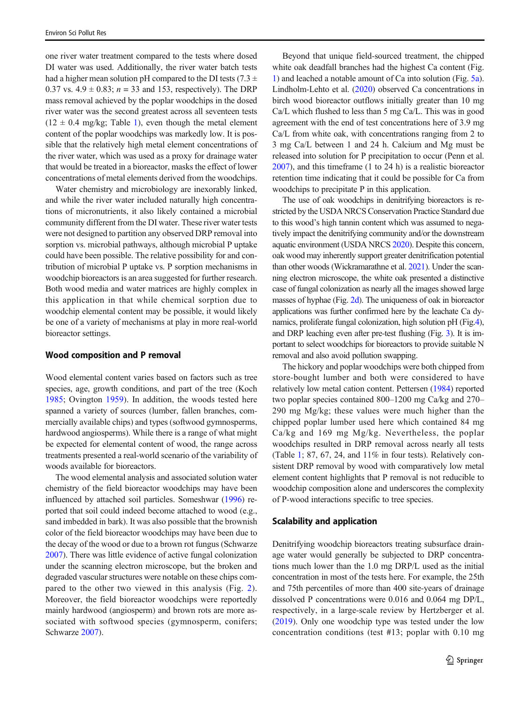one river water treatment compared to the tests where dosed DI water was used. Additionally, the river water batch tests had a higher mean solution pH compared to the DI tests (7.3  $\pm$ 0.37 vs.  $4.9 \pm 0.83$ ;  $n = 33$  and 153, respectively). The DRP mass removal achieved by the poplar woodchips in the dosed river water was the second greatest across all seventeen tests  $(12 \pm 0.4 \text{ mg/kg}; \text{Table 1})$ , even though the metal element content of the poplar woodchips was markedly low. It is possible that the relatively high metal element concentrations of the river water, which was used as a proxy for drainage water that would be treated in a bioreactor, masks the effect of lower concentrations of metal elements derived from the woodchips.

Water chemistry and microbiology are inexorably linked, and while the river water included naturally high concentrations of micronutrients, it also likely contained a microbial community different from the DI water. These river water tests were not designed to partition any observed DRP removal into sorption vs. microbial pathways, although microbial P uptake could have been possible. The relative possibility for and contribution of microbial P uptake vs. P sorption mechanisms in woodchip bioreactors is an area suggested for further research. Both wood media and water matrices are highly complex in this application in that while chemical sorption due to woodchip elemental content may be possible, it would likely be one of a variety of mechanisms at play in more real-world bioreactor settings.

## Wood composition and P removal

Wood elemental content varies based on factors such as tree species, age, growth conditions, and part of the tree (Koch [1985](#page-10-0); Ovington [1959](#page-10-0)). In addition, the woods tested here spanned a variety of sources (lumber, fallen branches, commercially available chips) and types (softwood gymnosperms, hardwood angiosperms). While there is a range of what might be expected for elemental content of wood, the range across treatments presented a real-world scenario of the variability of woods available for bioreactors.

The wood elemental analysis and associated solution water chemistry of the field bioreactor woodchips may have been influenced by attached soil particles. Someshwar [\(1996\)](#page-10-0) reported that soil could indeed become attached to wood (e.g., sand imbedded in bark). It was also possible that the brownish color of the field bioreactor woodchips may have been due to the decay of the wood or due to a brown rot fungus (Schwarze [2007\)](#page-10-0). There was little evidence of active fungal colonization under the scanning electron microscope, but the broken and degraded vascular structures were notable on these chips compared to the other two viewed in this analysis (Fig. [2](#page-4-0)). Moreover, the field bioreactor woodchips were reportedly mainly hardwood (angiosperm) and brown rots are more associated with softwood species (gymnosperm, conifers; Schwarze [2007\)](#page-10-0).

Beyond that unique field-sourced treatment, the chipped white oak deadfall branches had the highest Ca content (Fig. [1](#page-4-0)) and leached a notable amount of Ca into solution (Fig. [5a\)](#page-6-0). Lindholm-Lehto et al. [\(2020\)](#page-10-0) observed Ca concentrations in birch wood bioreactor outflows initially greater than 10 mg Ca/L which flushed to less than 5 mg Ca/L. This was in good agreement with the end of test concentrations here of 3.9 mg Ca/L from white oak, with concentrations ranging from 2 to 3 mg Ca/L between 1 and 24 h. Calcium and Mg must be released into solution for P precipitation to occur (Penn et al. [2007\)](#page-10-0), and this timeframe (1 to 24 h) is a realistic bioreactor retention time indicating that it could be possible for Ca from woodchips to precipitate P in this application.

The use of oak woodchips in denitrifying bioreactors is restricted by the USDA NRCS Conservation Practice Standard due to this wood's high tannin content which was assumed to negatively impact the denitrifying community and/or the downstream aquatic environment (USDA NRCS [2020](#page-10-0)). Despite this concern, oak wood may inherently support greater denitrification potential than other woods (Wickramarathne et al. [2021\)](#page-10-0). Under the scanning electron microscope, the white oak presented a distinctive case of fungal colonization as nearly all the images showed large masses of hyphae (Fig. [2d](#page-4-0)). The uniqueness of oak in bioreactor applications was further confirmed here by the leachate Ca dynamics, proliferate fungal colonization, high solution pH (Fig[.4\)](#page-5-0), and DRP leaching even after pre-test flushing (Fig. [3\)](#page-5-0). It is important to select woodchips for bioreactors to provide suitable N removal and also avoid pollution swapping.

The hickory and poplar woodchips were both chipped from store-bought lumber and both were considered to have relatively low metal cation content. Pettersen ([1984](#page-10-0)) reported two poplar species contained 800–1200 mg Ca/kg and 270– 290 mg Mg/kg; these values were much higher than the chipped poplar lumber used here which contained 84 mg Ca/kg and 169 mg Mg/kg. Nevertheless, the poplar woodchips resulted in DRP removal across nearly all tests (Table [1](#page-2-0); 87, 67, 24, and 11% in four tests). Relatively consistent DRP removal by wood with comparatively low metal element content highlights that P removal is not reducible to woodchip composition alone and underscores the complexity of P-wood interactions specific to tree species.

#### Scalability and application

Denitrifying woodchip bioreactors treating subsurface drainage water would generally be subjected to DRP concentrations much lower than the 1.0 mg DRP/L used as the initial concentration in most of the tests here. For example, the 25th and 75th percentiles of more than 400 site-years of drainage dissolved P concentrations were 0.016 and 0.064 mg DP/L, respectively, in a large-scale review by Hertzberger et al. [\(2019](#page-10-0)). Only one woodchip type was tested under the low concentration conditions (test #13; poplar with 0.10 mg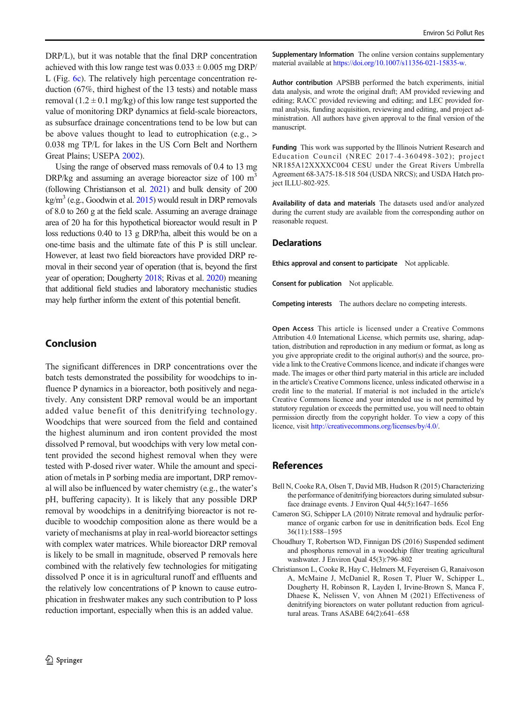<span id="page-9-0"></span>DRP/L), but it was notable that the final DRP concentration achieved with this low range test was  $0.033 \pm 0.005$  mg DRP/ L (Fig. [6c\)](#page-7-0). The relatively high percentage concentration reduction (67%, third highest of the 13 tests) and notable mass removal  $(1.2 \pm 0.1 \text{ mg/kg})$  of this low range test supported the value of monitoring DRP dynamics at field-scale bioreactors, as subsurface drainage concentrations tend to be low but can be above values thought to lead to eutrophication (e.g., > 0.038 mg TP/L for lakes in the US Corn Belt and Northern Great Plains; USEPA [2002](#page-10-0)).

Using the range of observed mass removals of 0.4 to 13 mg  $DRP/kg$  and assuming an average bioreactor size of 100 m<sup>3</sup> (following Christianson et al. 2021) and bulk density of 200  $\text{kg/m}^3$  (e.g., Goodwin et al. [2015\)](#page-10-0) would result in DRP removals of 8.0 to 260 g at the field scale. Assuming an average drainage area of 20 ha for this hypothetical bioreactor would result in P loss reductions 0.40 to 13 g DRP/ha, albeit this would be on a one-time basis and the ultimate fate of this P is still unclear. However, at least two field bioreactors have provided DRP removal in their second year of operation (that is, beyond the first year of operation; Dougherty [2018;](#page-10-0) Rivas et al. [2020\)](#page-10-0) meaning that additional field studies and laboratory mechanistic studies may help further inform the extent of this potential benefit.

## Conclusion

The significant differences in DRP concentrations over the batch tests demonstrated the possibility for woodchips to influence P dynamics in a bioreactor, both positively and negatively. Any consistent DRP removal would be an important added value benefit of this denitrifying technology. Woodchips that were sourced from the field and contained the highest aluminum and iron content provided the most dissolved P removal, but woodchips with very low metal content provided the second highest removal when they were tested with P-dosed river water. While the amount and speciation of metals in P sorbing media are important, DRP removal will also be influenced by water chemistry (e.g., the water's pH, buffering capacity). It is likely that any possible DRP removal by woodchips in a denitrifying bioreactor is not reducible to woodchip composition alone as there would be a variety of mechanisms at play in real-world bioreactor settings with complex water matrices. While bioreactor DRP removal is likely to be small in magnitude, observed P removals here combined with the relatively few technologies for mitigating dissolved P once it is in agricultural runoff and effluents and the relatively low concentrations of P known to cause eutrophication in freshwater makes any such contribution to P loss reduction important, especially when this is an added value.

Supplementary Information The online version contains supplementary material available at <https://doi.org/10.1007/s11356-021-15835-w>.

Author contribution APSBB performed the batch experiments, initial data analysis, and wrote the original draft; AM provided reviewing and editing; RACC provided reviewing and editing; and LEC provided formal analysis, funding acquisition, reviewing and editing, and project administration. All authors have given approval to the final version of the manuscript.

Funding This work was supported by the Illinois Nutrient Research and Education Council (NREC 2017-4-360498-302); project NR185A12XXXXC004 CESU under the Great Rivers Umbrella Agreement 68-3A75-18-518 504 (USDA NRCS); and USDA Hatch project ILLU-802-925.

Availability of data and materials The datasets used and/or analyzed during the current study are available from the corresponding author on reasonable request.

#### **Declarations**

Ethics approval and consent to participate Not applicable.

Consent for publication Not applicable.

Competing interests The authors declare no competing interests.

Open Access This article is licensed under a Creative Commons Attribution 4.0 International License, which permits use, sharing, adaptation, distribution and reproduction in any medium or format, as long as you give appropriate credit to the original author(s) and the source, provide a link to the Creative Commons licence, and indicate if changes were made. The images or other third party material in this article are included in the article's Creative Commons licence, unless indicated otherwise in a credit line to the material. If material is not included in the article's Creative Commons licence and your intended use is not permitted by statutory regulation or exceeds the permitted use, you will need to obtain permission directly from the copyright holder. To view a copy of this licence, visit <http://creativecommons.org/licenses/by/4.0/>.

## References

- Bell N, Cooke RA, Olsen T, David MB, Hudson R (2015) Characterizing the performance of denitrifying bioreactors during simulated subsurface drainage events. J Environ Qual 44(5):1647–1656
- Cameron SG, Schipper LA (2010) Nitrate removal and hydraulic performance of organic carbon for use in denitrification beds. Ecol Eng 36(11):1588–1595
- Choudhury T, Robertson WD, Finnigan DS (2016) Suspended sediment and phosphorus removal in a woodchip filter treating agricultural washwater. J Environ Qual 45(3):796–802
- Christianson L, Cooke R, Hay C, Helmers M, Feyereisen G, Ranaivoson A, McMaine J, McDaniel R, Rosen T, Pluer W, Schipper L, Dougherty H, Robinson R, Layden I, Irvine-Brown S, Manca F, Dhaese K, Nelissen V, von Ahnen M (2021) Effectiveness of denitrifying bioreactors on water pollutant reduction from agricultural areas. Trans ASABE 64(2):641–658